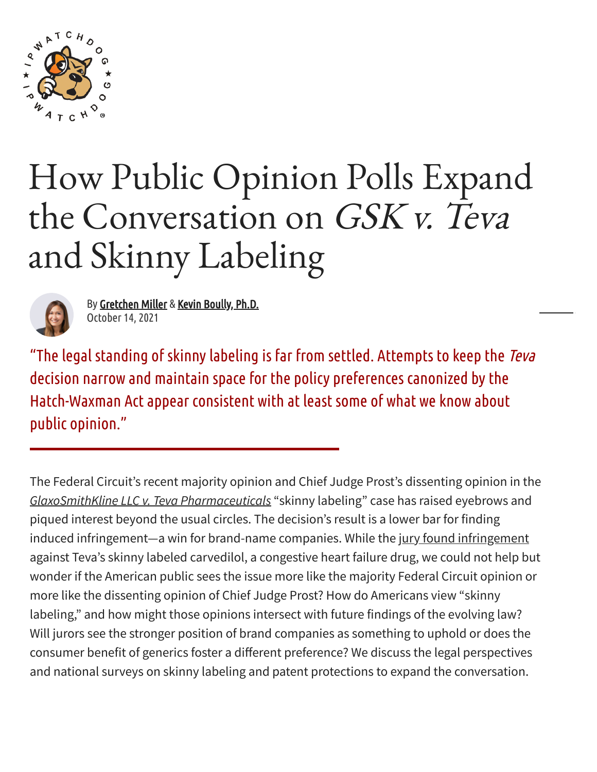

# How Public Opinion Polls Expand the Conversation on GSK v. Teva and Skinny Labeling



By [Gretchen](https://www.ipwatchdog.com/author/gretchen-miller/) Miller & Kevin [Boully,](https://www.ipwatchdog.com/author/kevin-boully-ph-d/) Ph.D. October 14, 2021

"The legal standing of skinny labeling is far from settled. Attempts to keep the Teva decision narrow and maintain space for the policy preferences canonized bythe Hatch-Waxman Act appear consistent with at least some of what we know about public opinion."

The Federal Circuit's recent majority opinion and Chief Judge Prost's dissenting opinion in the *GlaxoSmithKline LLC v. Teva [Pharmaceuticals](https://www.leagle.com/decision/infco20210805099)* "skinny labeling" case has raised eyebrows and piqued interest beyond the usual circles. The decision's result is a lower bar for finding induced [infringement](https://www.ipwatchdog.com/2020/10/05/federal-circuit-says-teva-induced-infringement-gsk-patent-congestive-heart-failure-drug/id=125921/)-a win for brand-name companies. While the jury found infringement against Teva's skinny labeled carvedilol, a congestive heart failure drug, we could not help but wonder if the American public sees the issue more like the majority Federal Circuit opinion or more like the dissenting opinion of Chief Judge Prost? How do Americans view "skinny labeling," and how might those opinions intersect with future findings of the evolving law? Will jurors see the stronger position of brand companies as something to uphold or does the consumer benefit of generics foster a different preference? We discuss the legal perspectives and national surveys on skinny labeling and patent protections to expand the conversation.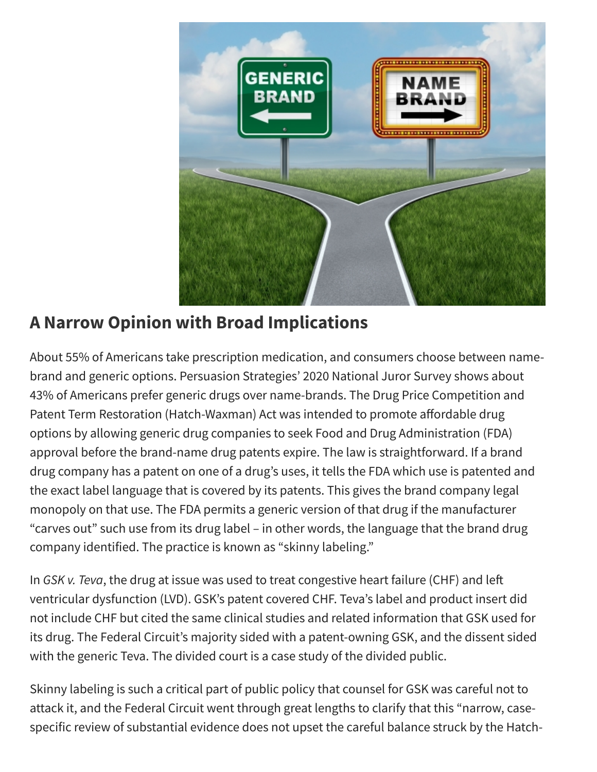

# **A Narrow Opinion with Broad Implications**

About 55% of Americans take prescription medication, and consumers choose between namebrand and generic options. Persuasion Strategies' 2020 National Juror Survey shows about 43% of Americans prefer generic drugs over name-brands. The Drug Price Competition and Patent Term Restoration (Hatch-Waxman) Act was intended to promote affordable drug options by allowing generic drug companies to seek Food and Drug Administration (FDA) approval before the brand-name drug patents expire. The law is straightforward. If a brand drug company has a patent on one of a drug's uses, it tells the FDA which use is patented and the exact label language that is covered by its patents. This gives the brand company legal monopoly on that use. The FDA permits a generic version of that drug if the manufacturer "carves out" such use from its drug label – in other words, the language that the brand drug company identified. The practice is known as "skinny labeling."

In *GSK v. Teva*, the drug at issue was used to treat congestive heart failure (CHF) and left ventricular dysfunction (LVD). GSK's patent covered CHF. Teva's label and product insert did not include CHF but cited the same clinical studies and related information that GSK used for its drug. The Federal Circuit's majority sided with a patent-owning GSK, and the dissent sided with the generic Teva. The divided court is a case study of the divided public.

Skinny labeling is such a critical part of public policy that counsel for GSK was careful not to attack it, and the Federal Circuit went through great lengths to clarify that this "narrow, casespecific review of substantial evidence does not upset the careful balance struck by the Hatch-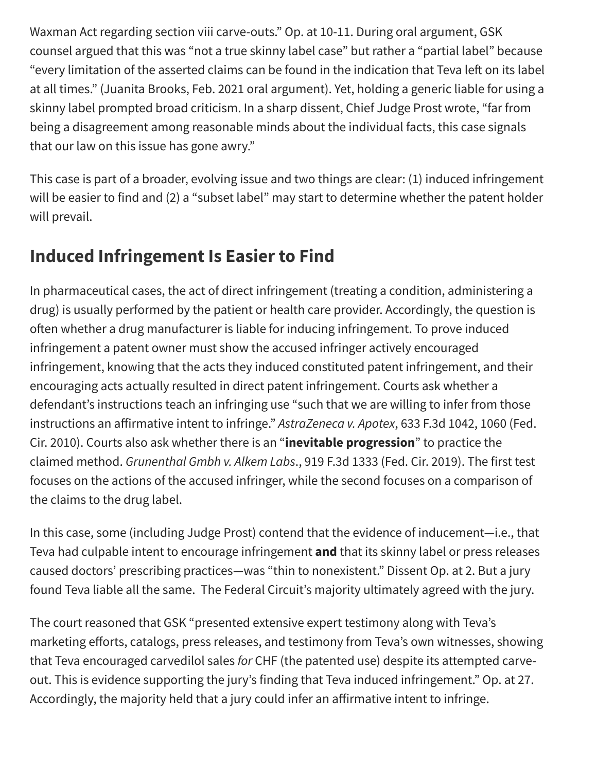Waxman Act regarding section viii carve-outs." Op. at 10-11. During oral argument, GSK counsel argued that this was "not a true skinny label case" but rather a "partial label" because "every limitation of the asserted claims can be found in the indication that Teva left on its label at all times." (Juanita Brooks, Feb. 2021 oral argument). Yet, holding a generic liable for using a skinny label prompted broad criticism. In a sharp dissent, Chief Judge Prost wrote, "far from being a disagreement among reasonable minds about the individual facts, this case signals that our law on this issue has gone awry."

This case is part of a broader, evolving issue and two things are clear: (1) induced infringement will be easier to find and (2) a "subset label" may start to determine whether the patent holder will prevail.

## **Induced Infringement Is Easier to Find**

In pharmaceutical cases, the act of direct infringement (treating a condition, administering a drug) is usually performed by the patient or health care provider. Accordingly, the question is often whether a drug manufacturer is liable for inducing infringement. To prove induced infringement a patent owner must show the accused infringer actively encouraged infringement, knowing that the acts they induced constituted patent infringement, and their encouraging acts actually resulted in direct patent infringement. Courts ask whether a defendant's instructions teach an infringing use "such that we are willing to infer from those instructions an affirmative intent to infringe." *AstraZeneca v. Apotex*, 633 F.3d 1042, 1060 (Fed. Cir. 2010). Courts also ask whether there is an "**inevitable progression**" to practice the claimed method. *Grunenthal Gmbh v. Alkem Labs*., 919 F.3d 1333 (Fed. Cir. 2019). The first test focuses on the actions of the accused infringer, while the second focuses on a comparison of the claims to the drug label.

In this case, some (including Judge Prost) contend that the evidence of inducement—i.e., that Teva had culpable intent to encourage infringement **and** that its skinny label or press releases caused doctors' prescribing practices—was "thin to nonexistent." Dissent Op. at 2. But a jury found Teva liable all the same. The Federal Circuit's majority ultimately agreed with the jury.

The court reasoned that GSK "presented extensive expert testimony along with Teva's marketing efforts, catalogs, press releases, and testimony from Teva's own witnesses, showing that Teva encouraged carvedilol sales *for* CHF (the patented use) despite its attempted carveout. This is evidence supporting the jury's finding that Teva induced infringement." Op. at 27. Accordingly, the majority held that a jury could infer an affirmative intent to infringe.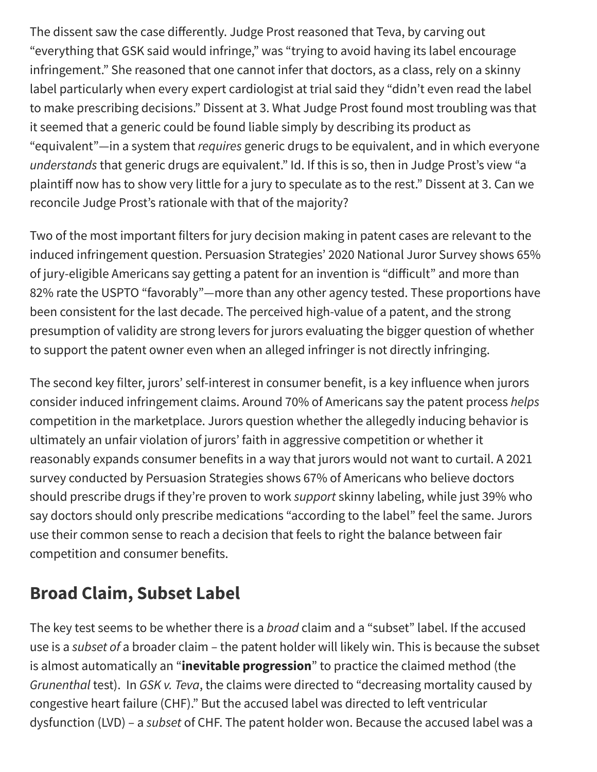The dissent saw the case differently. Judge Prost reasoned that Teva, by carving out "everything that GSK said would infringe," was "trying to avoid having its label encourage infringement." She reasoned that one cannot infer that doctors, as a class, rely on a skinny label particularly when every expert cardiologist at trial said they "didn't even read the label to make prescribing decisions." Dissent at 3. What Judge Prost found most troubling was that it seemed that a generic could be found liable simply by describing its product as "equivalent"—in a system that *requires* generic drugs to be equivalent, and in which everyone *understands* that generic drugs are equivalent." Id. If this is so, then in Judge Prost's view "a plaintiff now has to show very little for a jury to speculate as to the rest." Dissent at 3. Can we reconcile Judge Prost's rationale with that of the majority?

Two of the most important filters for jury decision making in patent cases are relevant to the induced infringement question. Persuasion Strategies' 2020 National Juror Survey shows 65% of jury-eligible Americans say getting a patent for an invention is "difficult" and more than 82% rate the USPTO "favorably"—more than any other agency tested. These proportions have been consistent for the last decade. The perceived high-value of a patent, and the strong presumption of validity are strong levers for jurors evaluating the bigger question of whether to support the patent owner even when an alleged infringer is not directly infringing.

The second key filter, jurors' self-interest in consumer benefit, is a key influence when jurors consider induced infringement claims. Around 70% of Americans say the patent process *helps* competition in the marketplace. Jurors question whether the allegedly inducing behavior is ultimately an unfair violation of jurors' faith in aggressive competition or whether it reasonably expands consumer benefits in a way that jurors would not want to curtail. A 2021 survey conducted by Persuasion Strategies shows 67% of Americans who believe doctors should prescribe drugs if they're proven to work *support* skinny labeling, while just 39% who say doctors should only prescribe medications "according to the label" feel the same. Jurors use their common sense to reach a decision that feels to right the balance between fair competition and consumer benefits.

#### **Broad Claim, Subset Label**

The key test seems to be whether there is a *broad* claim and a "subset" label. If the accused use is a *subset of* a broader claim – the patent holder will likely win. This is because the subset is almost automatically an "**inevitable progression**" to practice the claimed method (the *Grunenthal* test). In *GSK v. Teva*, the claims were directed to "decreasing mortality caused by congestive heart failure (CHF)." But the accused label was directed to left ventricular dysfunction (LVD) – a *subset* of CHF. The patent holder won. Because the accused label was a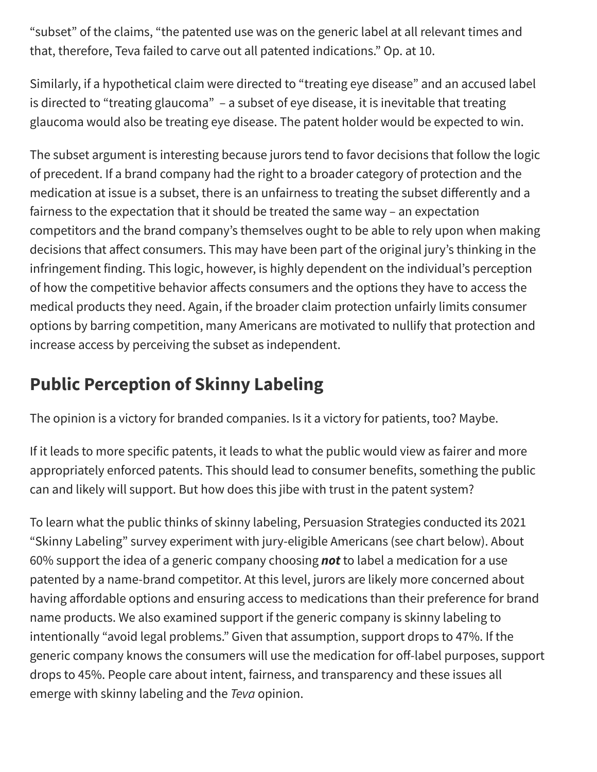"subset" of the claims, "the patented use was on the generic label at all relevant times and that, therefore, Teva failed to carve out all patented indications." Op. at 10.

Similarly, if a hypothetical claim were directed to "treating eye disease" and an accused label is directed to "treating glaucoma" - a subset of eye disease, it is inevitable that treating glaucoma would also be treating eye disease. The patent holder would be expected to win.

The subset argument is interesting because jurors tend to favor decisions that follow the logic of precedent. If a brand company had the right to a broader category of protection and the medication at issue is a subset, there is an unfairness to treating the subset differently and a fairness to the expectation that it should be treated the same way – an expectation competitors and the brand company's themselves ought to be able to rely upon when making decisions that affect consumers. This may have been part of the original jury's thinking in the infringement finding. This logic, however, is highly dependent on the individual's perception of how the competitive behavior affects consumers and the options they have to access the medical products they need. Again, if the broader claim protection unfairly limits consumer options by barring competition, many Americans are motivated to nullify that protection and increase access by perceiving the subset as independent.

# **Public Perception of Skinny Labeling**

The opinion is a victory for branded companies. Is it a victory for patients, too? Maybe.

If it leads to more specific patents, it leads to what the public would view as fairer and more appropriately enforced patents. This should lead to consumer benefits, something the public can and likely will support. But how does this jibe with trust in the patent system?

To learn what the public thinks of skinny labeling, Persuasion Strategies conducted its 2021 "Skinny Labeling" survey experiment with jury-eligible Americans (see chart below). About 60% support the idea of a generic company choosing *not* to label a medication for a use patented by a name-brand competitor. At this level, jurors are likely more concerned about having affordable options and ensuring access to medications than their preference for brand name products. We also examined support if the generic company is skinny labeling to intentionally "avoid legal problems." Given that assumption, support drops to 47%. If the generic company knows the consumers will use the medication for off-label purposes, support drops to 45%. People care about intent, fairness, and transparency and these issues all emerge with skinny labeling and the *Teva* opinion.